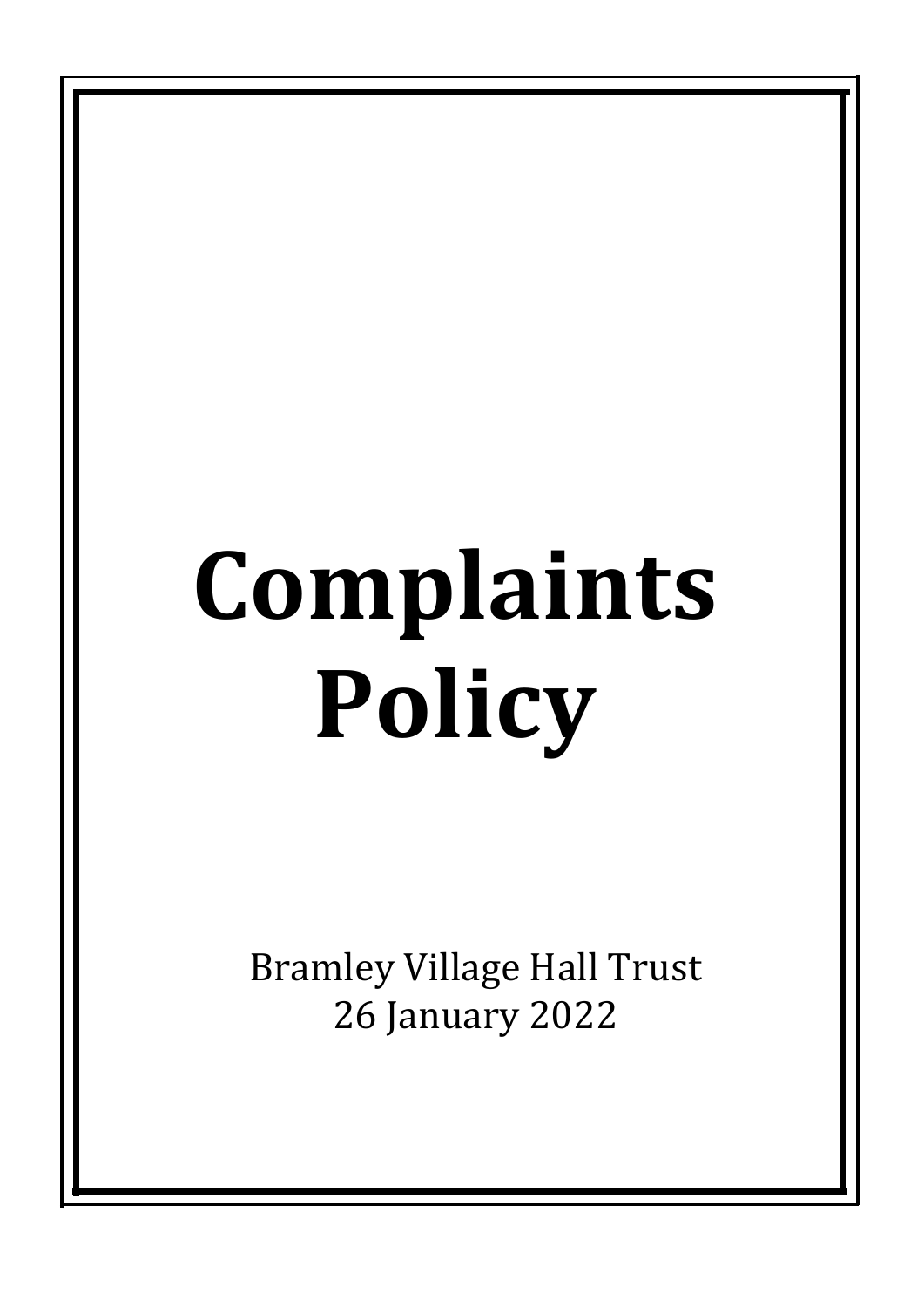# **Complaints Policy**

**Bramley Village Hall Trust** 26 January 2022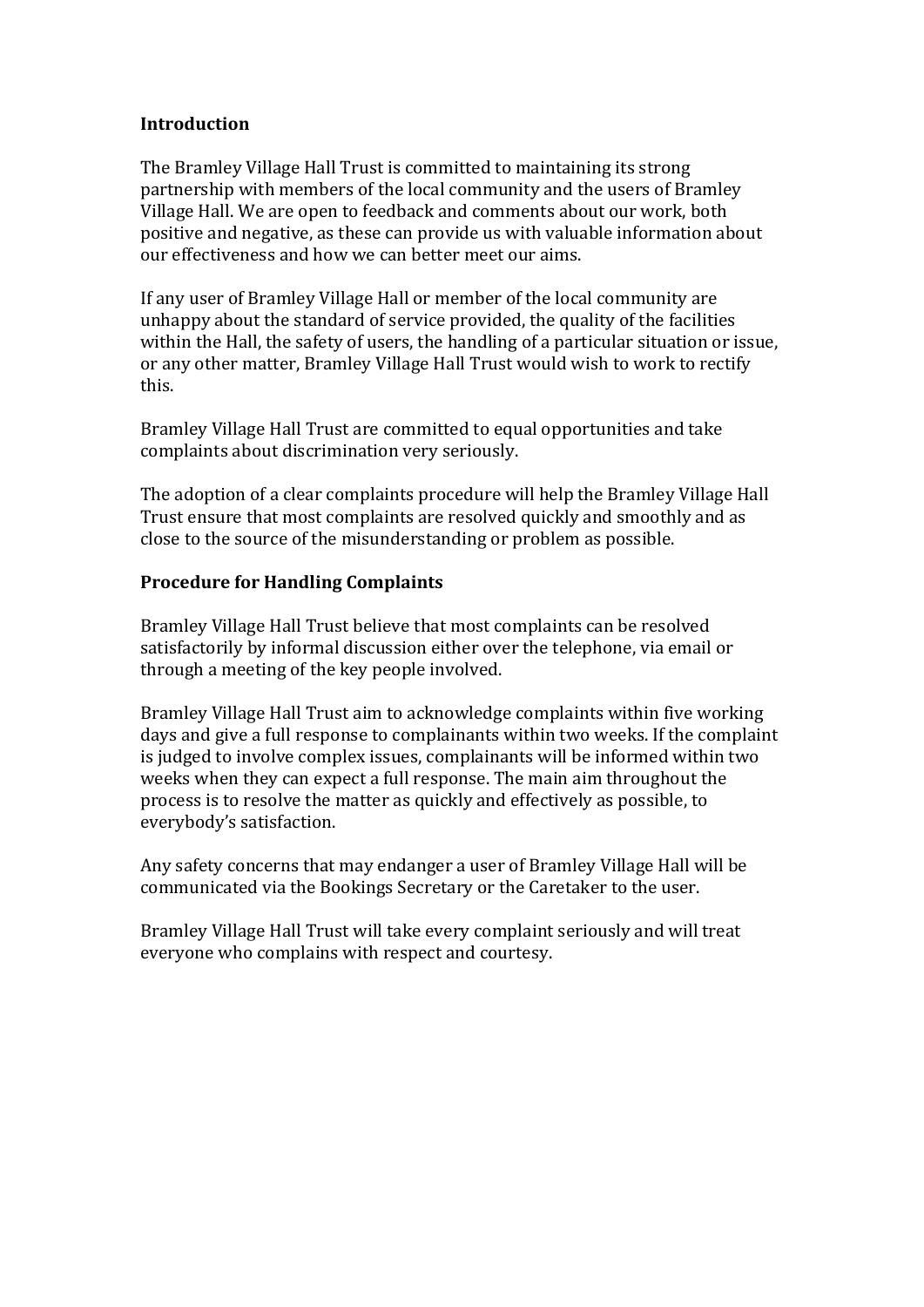## **Introduction**

The Bramley Village Hall Trust is committed to maintaining its strong partnership with members of the local community and the users of Bramley Village Hall. We are open to feedback and comments about our work, both positive and negative, as these can provide us with valuable information about our effectiveness and how we can better meet our aims.

If any user of Bramley Village Hall or member of the local community are unhappy about the standard of service provided, the quality of the facilities within the Hall, the safety of users, the handling of a particular situation or issue, or any other matter, Bramley Village Hall Trust would wish to work to rectify this. 

Bramley Village Hall Trust are committed to equal opportunities and take complaints about discrimination very seriously.

The adoption of a clear complaints procedure will help the Bramley Village Hall Trust ensure that most complaints are resolved quickly and smoothly and as close to the source of the misunderstanding or problem as possible.

### **Procedure for Handling Complaints**

Bramley Village Hall Trust believe that most complaints can be resolved satisfactorily by informal discussion either over the telephone, via email or through a meeting of the key people involved.

Bramley Village Hall Trust aim to acknowledge complaints within five working days and give a full response to complainants within two weeks. If the complaint is judged to involve complex issues, complainants will be informed within two weeks when they can expect a full response. The main aim throughout the process is to resolve the matter as quickly and effectively as possible, to everybody's satisfaction.

Any safety concerns that may endanger a user of Bramley Village Hall will be communicated via the Bookings Secretary or the Caretaker to the user.

Bramley Village Hall Trust will take every complaint seriously and will treat everyone who complains with respect and courtesy.